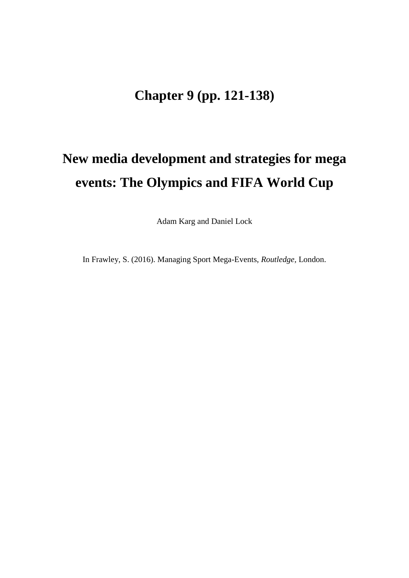# **Chapter 9 (pp. 121-138)**

# **New media development and strategies for mega events: The Olympics and FIFA World Cup**

Adam Karg and Daniel Lock

In Frawley, S. (2016). Managing Sport Mega-Events, *Routledge,* London.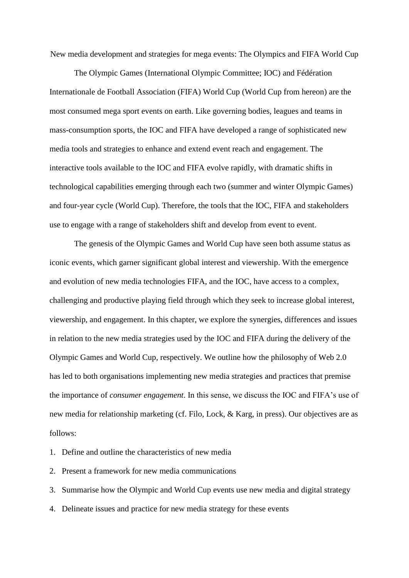New media development and strategies for mega events: The Olympics and FIFA World Cup

The Olympic Games (International Olympic Committee; IOC) and Fédération Internationale de Football Association (FIFA) World Cup (World Cup from hereon) are the most consumed mega sport events on earth. Like governing bodies, leagues and teams in mass-consumption sports, the IOC and FIFA have developed a range of sophisticated new media tools and strategies to enhance and extend event reach and engagement. The interactive tools available to the IOC and FIFA evolve rapidly, with dramatic shifts in technological capabilities emerging through each two (summer and winter Olympic Games) and four-year cycle (World Cup). Therefore, the tools that the IOC, FIFA and stakeholders use to engage with a range of stakeholders shift and develop from event to event.

The genesis of the Olympic Games and World Cup have seen both assume status as iconic events, which garner significant global interest and viewership. With the emergence and evolution of new media technologies FIFA, and the IOC, have access to a complex, challenging and productive playing field through which they seek to increase global interest, viewership, and engagement. In this chapter, we explore the synergies, differences and issues in relation to the new media strategies used by the IOC and FIFA during the delivery of the Olympic Games and World Cup, respectively. We outline how the philosophy of Web 2.0 has led to both organisations implementing new media strategies and practices that premise the importance of *consumer engagement*. In this sense, we discuss the IOC and FIFA's use of new media for relationship marketing (cf. Filo, Lock, & Karg, in press). Our objectives are as follows:

1. Define and outline the characteristics of new media

2. Present a framework for new media communications

3. Summarise how the Olympic and World Cup events use new media and digital strategy

4. Delineate issues and practice for new media strategy for these events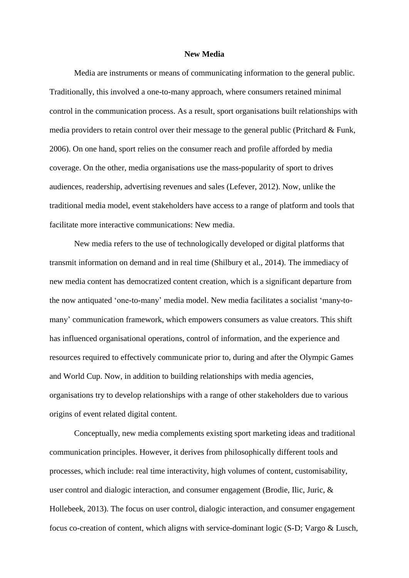#### **New Media**

Media are instruments or means of communicating information to the general public. Traditionally, this involved a one-to-many approach, where consumers retained minimal control in the communication process. As a result, sport organisations built relationships with media providers to retain control over their message to the general public (Pritchard & Funk, 2006). On one hand, sport relies on the consumer reach and profile afforded by media coverage. On the other, media organisations use the mass-popularity of sport to drives audiences, readership, advertising revenues and sales (Lefever, 2012). Now, unlike the traditional media model, event stakeholders have access to a range of platform and tools that facilitate more interactive communications: New media.

New media refers to the use of technologically developed or digital platforms that transmit information on demand and in real time [\(Shilbury et al., 2014\)](http://www.sciencedirect.com/science/article/pii/S1441352314000904#bib0515). The immediacy of new media content has democratized content creation, which is a significant departure from the now antiquated 'one-to-many' media model. New media facilitates a socialist 'many-tomany' communication framework, which empowers consumers as value creators. This shift has influenced organisational operations, control of information, and the experience and resources required to effectively communicate prior to, during and after the Olympic Games and World Cup. Now, in addition to building relationships with media agencies, organisations try to develop relationships with a range of other stakeholders due to various origins of event related digital content.

Conceptually, new media complements existing sport marketing ideas and traditional communication principles. However, it derives from philosophically different tools and processes, which include: real time interactivity, high volumes of content, customisability, user control and dialogic interaction, and consumer engagement (Brodie, Ilic, Juric, & Hollebeek, 2013). The focus on user control, dialogic interaction, and consumer engagement focus co-creation of content, which aligns with service-dominant logic (S-D; Vargo & Lusch,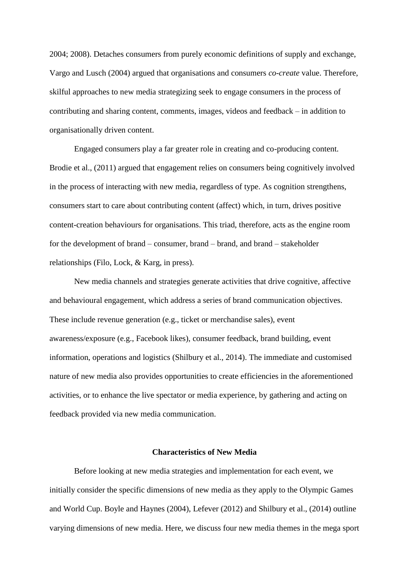2004; 2008). Detaches consumers from purely economic definitions of supply and exchange, Vargo and Lusch (2004) argued that organisations and consumers *co-create* value. Therefore, skilful approaches to new media strategizing seek to engage consumers in the process of contributing and sharing content, comments, images, videos and feedback – in addition to organisationally driven content.

Engaged consumers play a far greater role in creating and co-producing content. Brodie et al., (2011) argued that engagement relies on consumers being cognitively involved in the process of interacting with new media, regardless of type. As cognition strengthens, consumers start to care about contributing content (affect) which, in turn, drives positive content-creation behaviours for organisations. This triad, therefore, acts as the engine room for the development of brand – consumer, brand – brand, and brand – stakeholder relationships (Filo, Lock, & Karg, in press).

New media channels and strategies generate activities that drive cognitive, affective and behavioural engagement, which address a series of brand communication objectives. These include revenue generation (e.g., ticket or merchandise sales), event awareness/exposure (e.g., Facebook likes), consumer feedback, brand building, event information, operations and logistics (Shilbury et al., 2014). The immediate and customised nature of new media also provides opportunities to create efficiencies in the aforementioned activities, or to enhance the live spectator or media experience, by gathering and acting on feedback provided via new media communication.

# **Characteristics of New Media**

Before looking at new media strategies and implementation for each event, we initially consider the specific dimensions of new media as they apply to the Olympic Games and World Cup. Boyle and Haynes (2004), Lefever (2012) and Shilbury et al., (2014) outline varying dimensions of new media. Here, we discuss four new media themes in the mega sport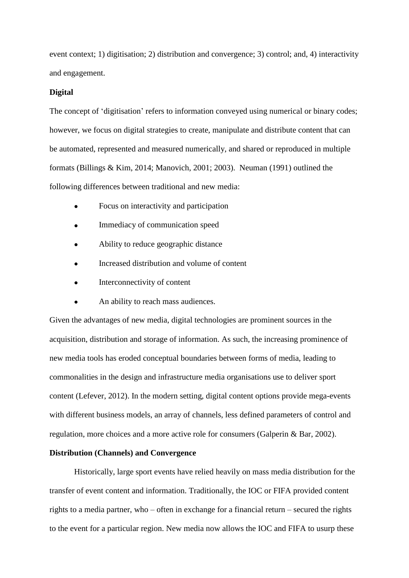event context; 1) digitisation; 2) distribution and convergence; 3) control; and, 4) interactivity and engagement.

#### **Digital**

The concept of 'digitisation' refers to information conveyed using numerical or binary codes; however, we focus on digital strategies to create, manipulate and distribute content that can be automated, represented and measured numerically, and shared or reproduced in multiple formats (Billings & Kim, 2014; Manovich, 2001; 2003). Neuman (1991) outlined the following differences between traditional and new media:

- Focus on interactivity and participation
- Immediacy of communication speed
- Ability to reduce geographic distance
- Increased distribution and volume of content
- Interconnectivity of content
- An ability to reach mass audiences.

Given the advantages of new media, digital technologies are prominent sources in the acquisition, distribution and storage of information. As such, the increasing prominence of new media tools has eroded conceptual boundaries between forms of media, leading to commonalities in the design and infrastructure media organisations use to deliver sport content (Lefever, 2012). In the modern setting, digital content options provide mega-events with different business models, an array of channels, less defined parameters of control and regulation, more choices and a more active role for consumers (Galperin & Bar, 2002).

# **Distribution (Channels) and Convergence**

Historically, large sport events have relied heavily on mass media distribution for the transfer of event content and information. Traditionally, the IOC or FIFA provided content rights to a media partner, who – often in exchange for a financial return – secured the rights to the event for a particular region. New media now allows the IOC and FIFA to usurp these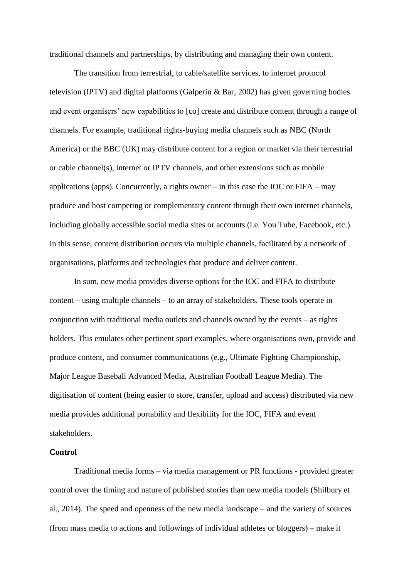traditional channels and partnerships, by distributing and managing their own content.

The transition from terrestrial, to cable/satellite services, to internet protocol television (IPTV) and digital platforms (Galperin & Bar, 2002) has given governing bodies and event organisers' new capabilities to [co] create and distribute content through a range of channels. For example, traditional rights-buying media channels such as NBC (North America) or the BBC (UK) may distribute content for a region or market via their terrestrial or cable channel(s), internet or IPTV channels, and other extensions such as mobile applications (apps). Concurrently, a rights owner – in this case the IOC or  $FIFA - may$ produce and host competing or complementary content through their own internet channels, including globally accessible social media sites or accounts (i.e. You Tube, Facebook, etc.). In this sense, content distribution occurs via multiple channels, facilitated by a network of organisations, platforms and technologies that produce and deliver content.

In sum, new media provides diverse options for the IOC and FIFA to distribute content – using multiple channels – to an array of stakeholders. These tools operate in conjunction with traditional media outlets and channels owned by the events – as rights holders. This emulates other pertinent sport examples, where organisations own, provide and produce content, and consumer communications (e.g., Ultimate Fighting Championship, Major League Baseball Advanced Media, Australian Football League Media). The digitisation of content (being easier to store, transfer, upload and access) distributed via new media provides additional portability and flexibility for the IOC, FIFA and event stakeholders.

# **Control**

Traditional media forms – via media management or PR functions - provided greater control over the timing and nature of published stories than new media models (Shilbury et al., 2014). The speed and openness of the new media landscape – and the variety of sources (from mass media to actions and followings of individual athletes or bloggers) – make it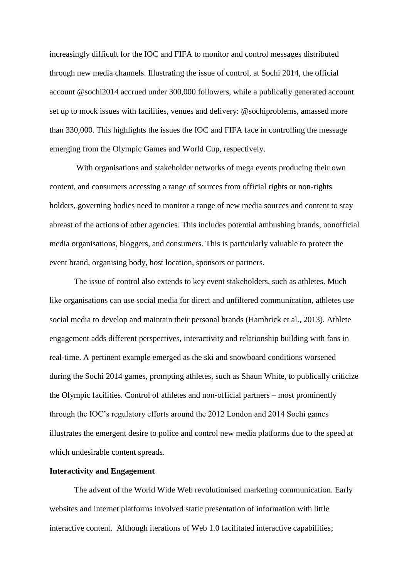increasingly difficult for the IOC and FIFA to monitor and control messages distributed through new media channels. Illustrating the issue of control, at Sochi 2014, the official account @sochi2014 accrued under 300,000 followers, while a publically generated account set up to mock issues with facilities, venues and delivery: @sochiproblems, amassed more than 330,000. This highlights the issues the IOC and FIFA face in controlling the message emerging from the Olympic Games and World Cup, respectively.

With organisations and stakeholder networks of mega events producing their own content, and consumers accessing a range of sources from official rights or non-rights holders, governing bodies need to monitor a range of new media sources and content to stay abreast of the actions of other agencies. This includes potential ambushing brands, nonofficial media organisations, bloggers, and consumers. This is particularly valuable to protect the event brand, organising body, host location, sponsors or partners.

The issue of control also extends to key event stakeholders, such as athletes. Much like organisations can use social media for direct and unfiltered communication, athletes use social media to develop and maintain their personal brands (Hambrick et al., 2013). Athlete engagement adds different perspectives, interactivity and relationship building with fans in real-time. A pertinent example emerged as the ski and snowboard conditions worsened during the Sochi 2014 games, prompting athletes, such as Shaun White, to publically criticize the Olympic facilities. Control of athletes and non-official partners – most prominently through the IOC's regulatory efforts around the 2012 London and 2014 Sochi games illustrates the emergent desire to police and control new media platforms due to the speed at which undesirable content spreads.

# **Interactivity and Engagement**

The advent of the World Wide Web revolutionised marketing communication. Early websites and internet platforms involved static presentation of information with little interactive content. Although iterations of Web 1.0 facilitated interactive capabilities;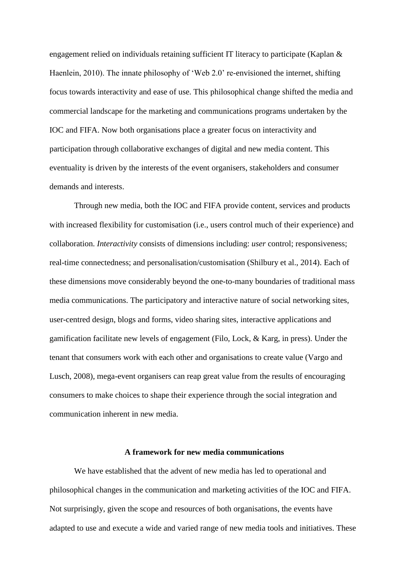engagement relied on individuals retaining sufficient IT literacy to participate (Kaplan & Haenlein, 2010). The innate philosophy of 'Web 2.0' re-envisioned the internet, shifting focus towards interactivity and ease of use. This philosophical change shifted the media and commercial landscape for the marketing and communications programs undertaken by the IOC and FIFA. Now both organisations place a greater focus on interactivity and participation through collaborative exchanges of digital and new media content. This eventuality is driven by the interests of the event organisers, stakeholders and consumer demands and interests.

Through new media, both the IOC and FIFA provide content, services and products with increased flexibility for customisation (i.e., users control much of their experience) and collaboration. *Interactivity* consists of dimensions including: *user* control; responsiveness; real-time connectedness; and personalisation/customisation (Shilbury et al., 2014). Each of these dimensions move considerably beyond the one-to-many boundaries of traditional mass media communications. The participatory and interactive nature of social networking sites, user-centred design, blogs and forms, video sharing sites, interactive applications and gamification facilitate new levels of engagement (Filo, Lock, & Karg, in press). Under the tenant that consumers work with each other and organisations to create value (Vargo and Lusch, 2008), mega-event organisers can reap great value from the results of encouraging consumers to make choices to shape their experience through the social integration and communication inherent in new media.

# **A framework for new media communications**

We have established that the advent of new media has led to operational and philosophical changes in the communication and marketing activities of the IOC and FIFA. Not surprisingly, given the scope and resources of both organisations, the events have adapted to use and execute a wide and varied range of new media tools and initiatives. These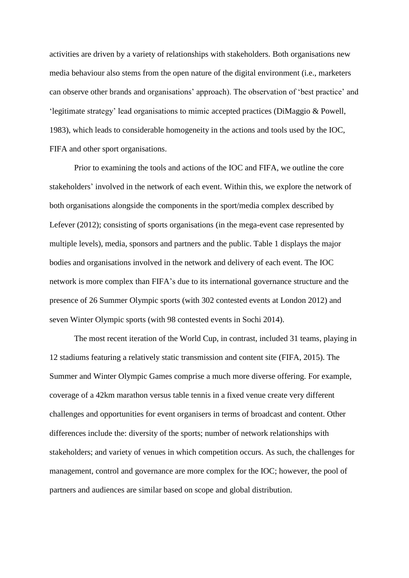activities are driven by a variety of relationships with stakeholders. Both organisations new media behaviour also stems from the open nature of the digital environment (i.e., marketers can observe other brands and organisations' approach). The observation of 'best practice' and 'legitimate strategy' lead organisations to mimic accepted practices (DiMaggio & Powell, 1983), which leads to considerable homogeneity in the actions and tools used by the IOC, FIFA and other sport organisations.

Prior to examining the tools and actions of the IOC and FIFA, we outline the core stakeholders' involved in the network of each event. Within this, we explore the network of both organisations alongside the components in the sport/media complex described by Lefever (2012); consisting of sports organisations (in the mega-event case represented by multiple levels), media, sponsors and partners and the public. Table 1 displays the major bodies and organisations involved in the network and delivery of each event. The IOC network is more complex than FIFA's due to its international governance structure and the presence of 26 Summer Olympic sports (with 302 contested events at London 2012) and seven Winter Olympic sports (with 98 contested events in Sochi 2014).

The most recent iteration of the World Cup, in contrast, included 31 teams, playing in 12 stadiums featuring a relatively static transmission and content site (FIFA, 2015). The Summer and Winter Olympic Games comprise a much more diverse offering. For example, coverage of a 42km marathon versus table tennis in a fixed venue create very different challenges and opportunities for event organisers in terms of broadcast and content. Other differences include the: diversity of the sports; number of network relationships with stakeholders; and variety of venues in which competition occurs. As such, the challenges for management, control and governance are more complex for the IOC; however, the pool of partners and audiences are similar based on scope and global distribution.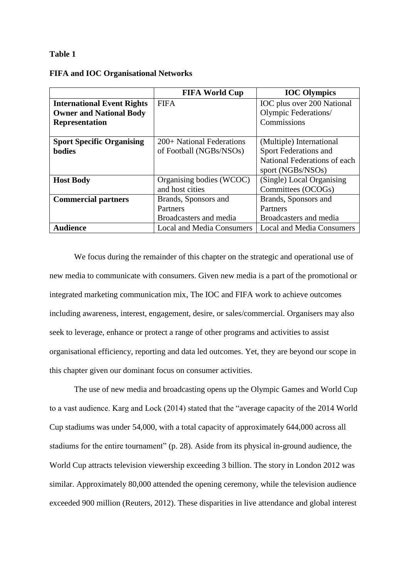# **Table 1**

|                                   | <b>FIFA World Cup</b>            | <b>IOC Olympics</b>              |
|-----------------------------------|----------------------------------|----------------------------------|
| <b>International Event Rights</b> | <b>FIFA</b>                      | IOC plus over 200 National       |
| <b>Owner and National Body</b>    |                                  | Olympic Federations/             |
| <b>Representation</b>             |                                  | Commissions                      |
|                                   |                                  |                                  |
| <b>Sport Specific Organising</b>  | 200+ National Federations        | (Multiple) International         |
| <b>bodies</b>                     | of Football (NGBs/NSOs)          | Sport Federations and            |
|                                   |                                  | National Federations of each     |
|                                   |                                  | sport (NGBs/NSOs)                |
| <b>Host Body</b>                  | Organising bodies (WCOC)         | (Single) Local Organising        |
|                                   | and host cities                  | Committees (OCOGs)               |
| <b>Commercial partners</b>        | Brands, Sponsors and             | Brands, Sponsors and             |
|                                   | Partners                         | Partners                         |
|                                   | Broadcasters and media           | Broadcasters and media           |
| <b>Audience</b>                   | <b>Local and Media Consumers</b> | <b>Local and Media Consumers</b> |

## **FIFA and IOC Organisational Networks**

We focus during the remainder of this chapter on the strategic and operational use of new media to communicate with consumers. Given new media is a part of the promotional or integrated marketing communication mix, The IOC and FIFA work to achieve outcomes including awareness, interest, engagement, desire, or sales/commercial. Organisers may also seek to leverage, enhance or protect a range of other programs and activities to assist organisational efficiency, reporting and data led outcomes. Yet, they are beyond our scope in this chapter given our dominant focus on consumer activities.

The use of new media and broadcasting opens up the Olympic Games and World Cup to a vast audience. Karg and Lock (2014) stated that the "average capacity of the 2014 World Cup stadiums was under 54,000, with a total capacity of approximately 644,000 across all stadiums for the entire tournament" (p. 28). Aside from its physical in-ground audience, the World Cup attracts television viewership exceeding 3 billion. The story in London 2012 was similar. Approximately 80,000 attended the opening ceremony, while the television audience exceeded 900 million (Reuters, 2012). These disparities in live attendance and global interest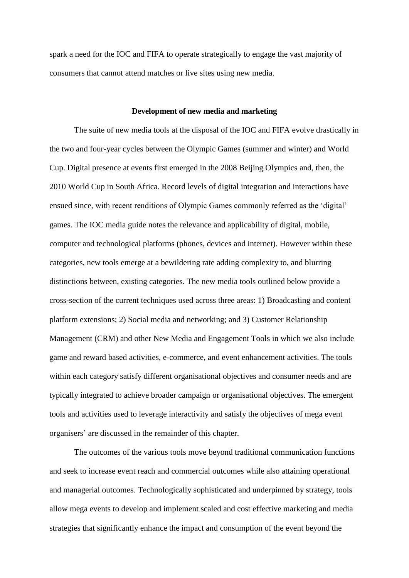spark a need for the IOC and FIFA to operate strategically to engage the vast majority of consumers that cannot attend matches or live sites using new media.

#### **Development of new media and marketing**

The suite of new media tools at the disposal of the IOC and FIFA evolve drastically in the two and four-year cycles between the Olympic Games (summer and winter) and World Cup. Digital presence at events first emerged in the 2008 Beijing Olympics and, then, the 2010 World Cup in South Africa. Record levels of digital integration and interactions have ensued since, with recent renditions of Olympic Games commonly referred as the 'digital' games. The IOC media guide notes the relevance and applicability of digital, mobile, computer and technological platforms (phones, devices and internet). However within these categories, new tools emerge at a bewildering rate adding complexity to, and blurring distinctions between, existing categories. The new media tools outlined below provide a cross-section of the current techniques used across three areas: 1) Broadcasting and content platform extensions; 2) Social media and networking; and 3) Customer Relationship Management (CRM) and other New Media and Engagement Tools in which we also include game and reward based activities, e-commerce, and event enhancement activities. The tools within each category satisfy different organisational objectives and consumer needs and are typically integrated to achieve broader campaign or organisational objectives. The emergent tools and activities used to leverage interactivity and satisfy the objectives of mega event organisers' are discussed in the remainder of this chapter.

The outcomes of the various tools move beyond traditional communication functions and seek to increase event reach and commercial outcomes while also attaining operational and managerial outcomes. Technologically sophisticated and underpinned by strategy, tools allow mega events to develop and implement scaled and cost effective marketing and media strategies that significantly enhance the impact and consumption of the event beyond the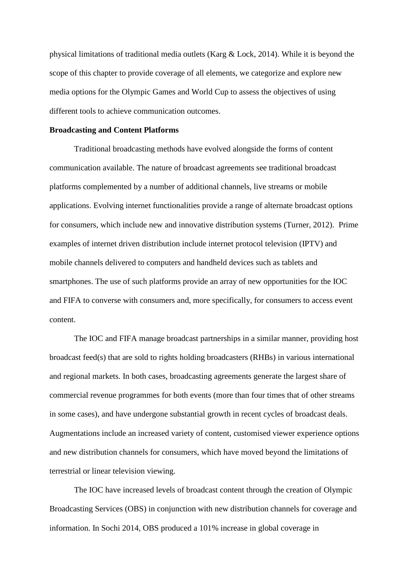physical limitations of traditional media outlets (Karg & Lock, 2014). While it is beyond the scope of this chapter to provide coverage of all elements, we categorize and explore new media options for the Olympic Games and World Cup to assess the objectives of using different tools to achieve communication outcomes.

#### **Broadcasting and Content Platforms**

Traditional broadcasting methods have evolved alongside the forms of content communication available. The nature of broadcast agreements see traditional broadcast platforms complemented by a number of additional channels, live streams or mobile applications. Evolving internet functionalities provide a range of alternate broadcast options for consumers, which include new and innovative distribution systems (Turner, 2012). Prime examples of internet driven distribution include internet protocol television (IPTV) and mobile channels delivered to computers and handheld devices such as tablets and smartphones. The use of such platforms provide an array of new opportunities for the IOC and FIFA to converse with consumers and, more specifically, for consumers to access event content.

The IOC and FIFA manage broadcast partnerships in a similar manner, providing host broadcast feed(s) that are sold to rights holding broadcasters (RHBs) in various international and regional markets. In both cases, broadcasting agreements generate the largest share of commercial revenue programmes for both events (more than four times that of other streams in some cases), and have undergone substantial growth in recent cycles of broadcast deals. Augmentations include an increased variety of content, customised viewer experience options and new distribution channels for consumers, which have moved beyond the limitations of terrestrial or linear television viewing.

The IOC have increased levels of broadcast content through the creation of Olympic Broadcasting Services (OBS) in conjunction with new distribution channels for coverage and information. In Sochi 2014, OBS produced a 101% increase in global coverage in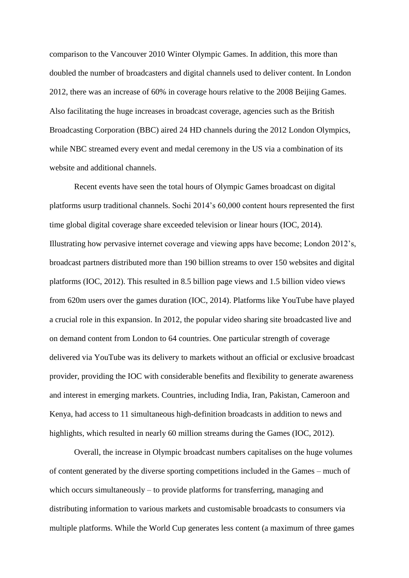comparison to the Vancouver 2010 Winter Olympic Games. In addition, this more than doubled the number of broadcasters and digital channels used to deliver content. In London 2012, there was an increase of 60% in coverage hours relative to the 2008 Beijing Games. Also facilitating the huge increases in broadcast coverage, agencies such as the British Broadcasting Corporation (BBC) aired 24 HD channels during the 2012 London Olympics, while NBC streamed every event and medal ceremony in the US via a combination of its website and additional channels.

Recent events have seen the total hours of Olympic Games broadcast on digital platforms usurp traditional channels. Sochi 2014's 60,000 content hours represented the first time global digital coverage share exceeded television or linear hours (IOC, 2014). Illustrating how pervasive internet coverage and viewing apps have become; London 2012's, broadcast partners distributed more than 190 billion streams to over 150 websites and digital platforms (IOC, 2012). This resulted in 8.5 billion page views and 1.5 billion video views from 620m users over the games duration (IOC, 2014). Platforms like YouTube have played a crucial role in this expansion. In 2012, the popular video sharing site broadcasted live and on demand content from London to 64 countries. One particular strength of coverage delivered via YouTube was its delivery to markets without an official or exclusive broadcast provider, providing the IOC with considerable benefits and flexibility to generate awareness and interest in emerging markets. Countries, including India, Iran, Pakistan, Cameroon and Kenya, had access to 11 simultaneous high-definition broadcasts in addition to news and highlights, which resulted in nearly 60 million streams during the Games (IOC, 2012).

Overall, the increase in Olympic broadcast numbers capitalises on the huge volumes of content generated by the diverse sporting competitions included in the Games – much of which occurs simultaneously – to provide platforms for transferring, managing and distributing information to various markets and customisable broadcasts to consumers via multiple platforms. While the World Cup generates less content (a maximum of three games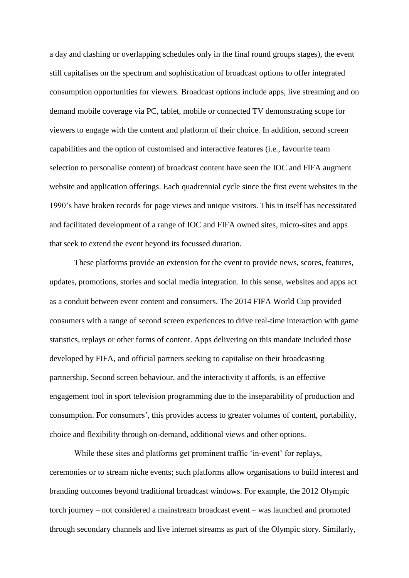a day and clashing or overlapping schedules only in the final round groups stages), the event still capitalises on the spectrum and sophistication of broadcast options to offer integrated consumption opportunities for viewers. Broadcast options include apps, live streaming and on demand mobile coverage via PC, tablet, mobile or connected TV demonstrating scope for viewers to engage with the content and platform of their choice. In addition, second screen capabilities and the option of customised and interactive features (i.e., favourite team selection to personalise content) of broadcast content have seen the IOC and FIFA augment website and application offerings. Each quadrennial cycle since the first event websites in the 1990's have broken records for page views and unique visitors. This in itself has necessitated and facilitated development of a range of IOC and FIFA owned sites, micro-sites and apps that seek to extend the event beyond its focussed duration.

These platforms provide an extension for the event to provide news, scores, features, updates, promotions, stories and social media integration. In this sense, websites and apps act as a conduit between event content and consumers. The 2014 FIFA World Cup provided consumers with a range of second screen experiences to drive real-time interaction with game statistics, replays or other forms of content. Apps delivering on this mandate included those developed by FIFA, and official partners seeking to capitalise on their broadcasting partnership. Second screen behaviour, and the interactivity it affords, is an effective engagement tool in sport television programming due to the inseparability of production and consumption. For consumers', this provides access to greater volumes of content, portability, choice and flexibility through on-demand, additional views and other options.

While these sites and platforms get prominent traffic 'in-event' for replays, ceremonies or to stream niche events; such platforms allow organisations to build interest and branding outcomes beyond traditional broadcast windows. For example, the 2012 Olympic torch journey – not considered a mainstream broadcast event – was launched and promoted through secondary channels and live internet streams as part of the Olympic story. Similarly,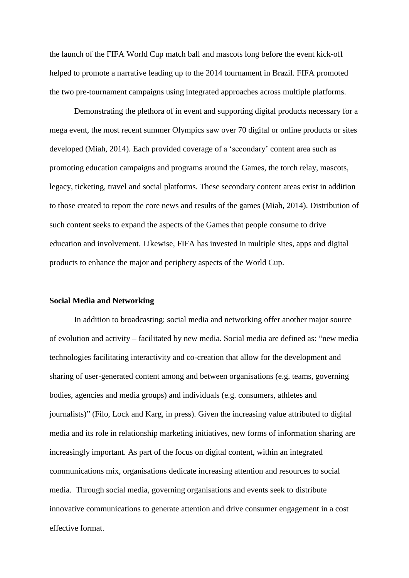the launch of the FIFA World Cup match ball and mascots long before the event kick-off helped to promote a narrative leading up to the 2014 tournament in Brazil. FIFA promoted the two pre-tournament campaigns using integrated approaches across multiple platforms.

Demonstrating the plethora of in event and supporting digital products necessary for a mega event, the most recent summer Olympics saw over 70 digital or online products or sites developed (Miah, 2014). Each provided coverage of a 'secondary' content area such as promoting education campaigns and programs around the Games, the torch relay, mascots, legacy, ticketing, travel and social platforms. These secondary content areas exist in addition to those created to report the core news and results of the games (Miah, 2014). Distribution of such content seeks to expand the aspects of the Games that people consume to drive education and involvement. Likewise, FIFA has invested in multiple sites, apps and digital products to enhance the major and periphery aspects of the World Cup.

#### **Social Media and Networking**

In addition to broadcasting; social media and networking offer another major source of evolution and activity – facilitated by new media. Social media are defined as: "new media technologies facilitating interactivity and co-creation that allow for the development and sharing of user-generated content among and between organisations (e.g. teams, governing bodies, agencies and media groups) and individuals (e.g. consumers, athletes and journalists)" (Filo, Lock and Karg, in press). Given the increasing value attributed to digital media and its role in relationship marketing initiatives, new forms of information sharing are increasingly important. As part of the focus on digital content, within an integrated communications mix, organisations dedicate increasing attention and resources to social media. Through social media, governing organisations and events seek to distribute innovative communications to generate attention and drive consumer engagement in a cost effective format.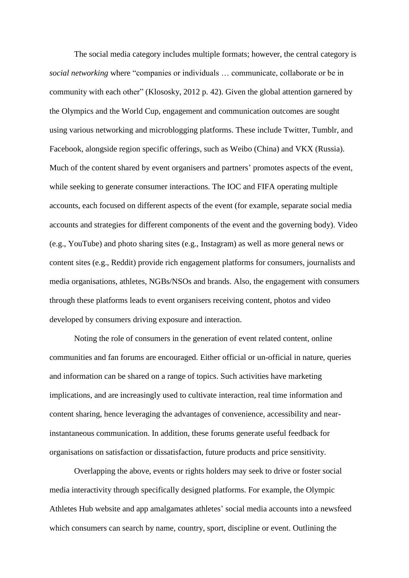The social media category includes multiple formats; however, the central category is *social networking* where "companies or individuals … communicate, collaborate or be in community with each other" (Klososky, 2012 p. 42). Given the global attention garnered by the Olympics and the World Cup, engagement and communication outcomes are sought using various networking and microblogging platforms. These include Twitter, Tumblr, and Facebook, alongside region specific offerings, such as Weibo (China) and VKX (Russia). Much of the content shared by event organisers and partners' promotes aspects of the event, while seeking to generate consumer interactions. The IOC and FIFA operating multiple accounts, each focused on different aspects of the event (for example, separate social media accounts and strategies for different components of the event and the governing body). Video (e.g., YouTube) and photo sharing sites (e.g., Instagram) as well as more general news or content sites (e.g., Reddit) provide rich engagement platforms for consumers, journalists and media organisations, athletes, NGBs/NSOs and brands. Also, the engagement with consumers through these platforms leads to event organisers receiving content, photos and video developed by consumers driving exposure and interaction.

Noting the role of consumers in the generation of event related content, online communities and fan forums are encouraged. Either official or un-official in nature, queries and information can be shared on a range of topics. Such activities have marketing implications, and are increasingly used to cultivate interaction, real time information and content sharing, hence leveraging the advantages of convenience, accessibility and nearinstantaneous communication. In addition, these forums generate useful feedback for organisations on satisfaction or dissatisfaction, future products and price sensitivity.

Overlapping the above, events or rights holders may seek to drive or foster social media interactivity through specifically designed platforms. For example, the Olympic Athletes Hub website and app amalgamates athletes' social media accounts into a newsfeed which consumers can search by name, country, sport, discipline or event. Outlining the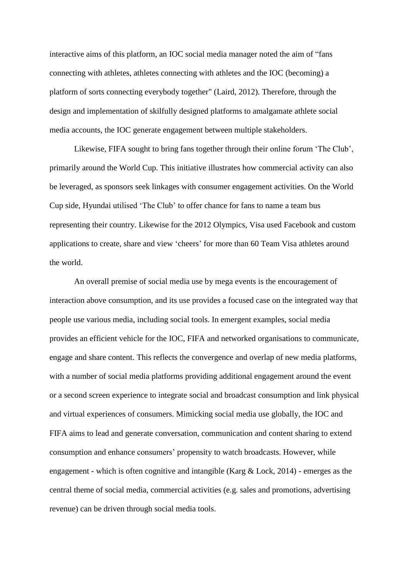interactive aims of this platform, an IOC social media manager noted the aim of "fans connecting with athletes, athletes connecting with athletes and the IOC (becoming) a platform of sorts connecting everybody together" (Laird, 2012). Therefore, through the design and implementation of skilfully designed platforms to amalgamate athlete social media accounts, the IOC generate engagement between multiple stakeholders.

Likewise, FIFA sought to bring fans together through their online forum 'The Club', primarily around the World Cup. This initiative illustrates how commercial activity can also be leveraged, as sponsors seek linkages with consumer engagement activities. On the World Cup side, Hyundai utilised 'The Club' to offer chance for fans to name a team bus representing their country. Likewise for the 2012 Olympics, Visa used Facebook and custom applications to create, share and view 'cheers' for more than 60 Team Visa athletes around the world.

An overall premise of social media use by mega events is the encouragement of interaction above consumption, and its use provides a focused case on the integrated way that people use various media, including social tools. In emergent examples, social media provides an efficient vehicle for the IOC, FIFA and networked organisations to communicate, engage and share content. This reflects the convergence and overlap of new media platforms, with a number of social media platforms providing additional engagement around the event or a second screen experience to integrate social and broadcast consumption and link physical and virtual experiences of consumers. Mimicking social media use globally, the IOC and FIFA aims to lead and generate conversation, communication and content sharing to extend consumption and enhance consumers' propensity to watch broadcasts. However, while engagement - which is often cognitive and intangible (Karg & Lock, 2014) - emerges as the central theme of social media, commercial activities (e.g. sales and promotions, advertising revenue) can be driven through social media tools.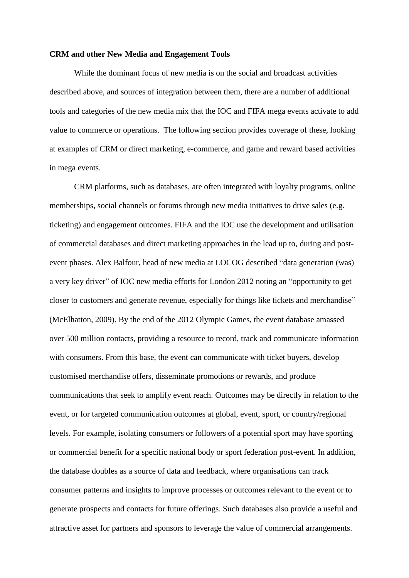#### **CRM and other New Media and Engagement Tools**

While the dominant focus of new media is on the social and broadcast activities described above, and sources of integration between them, there are a number of additional tools and categories of the new media mix that the IOC and FIFA mega events activate to add value to commerce or operations. The following section provides coverage of these, looking at examples of CRM or direct marketing, e-commerce, and game and reward based activities in mega events.

CRM platforms, such as databases, are often integrated with loyalty programs, online memberships, social channels or forums through new media initiatives to drive sales (e.g. ticketing) and engagement outcomes. FIFA and the IOC use the development and utilisation of commercial databases and direct marketing approaches in the lead up to, during and postevent phases. Alex Balfour, head of new media at LOCOG described "data generation (was) a very key driver" of IOC new media efforts for London 2012 noting an "opportunity to get closer to customers and generate revenue, especially for things like tickets and merchandise" (McElhatton, 2009). By the end of the 2012 Olympic Games, the event database amassed over 500 million contacts, providing a resource to record, track and communicate information with consumers. From this base, the event can communicate with ticket buyers, develop customised merchandise offers, disseminate promotions or rewards, and produce communications that seek to amplify event reach. Outcomes may be directly in relation to the event, or for targeted communication outcomes at global, event, sport, or country/regional levels. For example, isolating consumers or followers of a potential sport may have sporting or commercial benefit for a specific national body or sport federation post-event. In addition, the database doubles as a source of data and feedback, where organisations can track consumer patterns and insights to improve processes or outcomes relevant to the event or to generate prospects and contacts for future offerings. Such databases also provide a useful and attractive asset for partners and sponsors to leverage the value of commercial arrangements.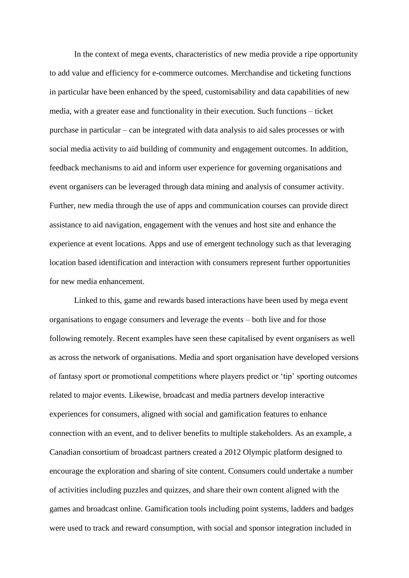In the context of mega events, characteristics of new media provide a ripe opportunity to add value and efficiency for e-commerce outcomes. Merchandise and ticketing functions in particular have been enhanced by the speed, customisability and data capabilities of new media, with a greater ease and functionality in their execution. Such functions – ticket purchase in particular – can be integrated with data analysis to aid sales processes or with social media activity to aid building of community and engagement outcomes. In addition, feedback mechanisms to aid and inform user experience for governing organisations and event organisers can be leveraged through data mining and analysis of consumer activity. Further, new media through the use of apps and communication courses can provide direct assistance to aid navigation, engagement with the venues and host site and enhance the experience at event locations. Apps and use of emergent technology such as that leveraging location based identification and interaction with consumers represent further opportunities for new media enhancement.

Linked to this, game and rewards based interactions have been used by mega event organisations to engage consumers and leverage the events – both live and for those following remotely. Recent examples have seen these capitalised by event organisers as well as across the network of organisations. Media and sport organisation have developed versions of fantasy sport or promotional competitions where players predict or 'tip' sporting outcomes related to major events. Likewise, broadcast and media partners develop interactive experiences for consumers, aligned with social and gamification features to enhance connection with an event, and to deliver benefits to multiple stakeholders. As an example, a Canadian consortium of broadcast partners created a 2012 Olympic platform designed to encourage the exploration and sharing of site content. Consumers could undertake a number of activities including puzzles and quizzes, and share their own content aligned with the games and broadcast online. Gamification tools including point systems, ladders and badges were used to track and reward consumption, with social and sponsor integration included in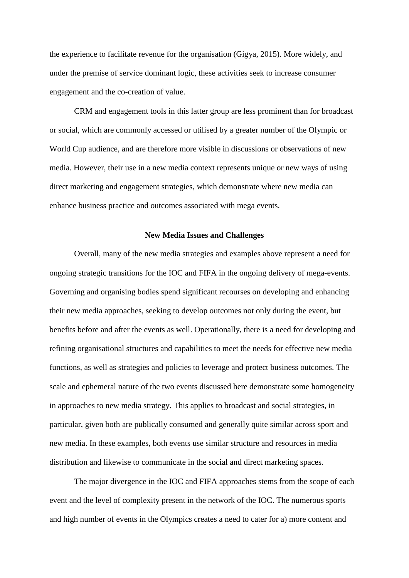the experience to facilitate revenue for the organisation (Gigya, 2015). More widely, and under the premise of service dominant logic, these activities seek to increase consumer engagement and the co-creation of value.

CRM and engagement tools in this latter group are less prominent than for broadcast or social, which are commonly accessed or utilised by a greater number of the Olympic or World Cup audience, and are therefore more visible in discussions or observations of new media. However, their use in a new media context represents unique or new ways of using direct marketing and engagement strategies, which demonstrate where new media can enhance business practice and outcomes associated with mega events.

#### **New Media Issues and Challenges**

Overall, many of the new media strategies and examples above represent a need for ongoing strategic transitions for the IOC and FIFA in the ongoing delivery of mega-events. Governing and organising bodies spend significant recourses on developing and enhancing their new media approaches, seeking to develop outcomes not only during the event, but benefits before and after the events as well. Operationally, there is a need for developing and refining organisational structures and capabilities to meet the needs for effective new media functions, as well as strategies and policies to leverage and protect business outcomes. The scale and ephemeral nature of the two events discussed here demonstrate some homogeneity in approaches to new media strategy. This applies to broadcast and social strategies, in particular, given both are publically consumed and generally quite similar across sport and new media. In these examples, both events use similar structure and resources in media distribution and likewise to communicate in the social and direct marketing spaces.

The major divergence in the IOC and FIFA approaches stems from the scope of each event and the level of complexity present in the network of the IOC. The numerous sports and high number of events in the Olympics creates a need to cater for a) more content and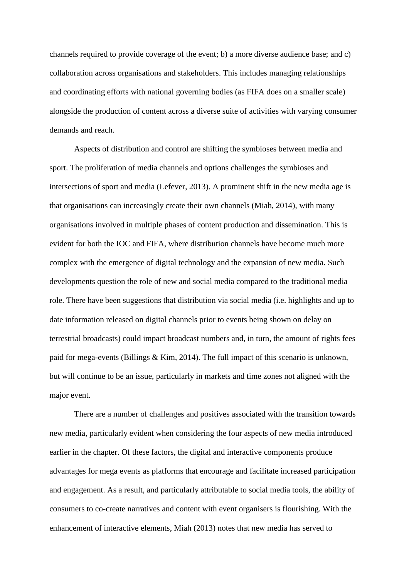channels required to provide coverage of the event; b) a more diverse audience base; and c) collaboration across organisations and stakeholders. This includes managing relationships and coordinating efforts with national governing bodies (as FIFA does on a smaller scale) alongside the production of content across a diverse suite of activities with varying consumer demands and reach.

Aspects of distribution and control are shifting the symbioses between media and sport. The proliferation of media channels and options challenges the symbioses and intersections of sport and media (Lefever, 2013). A prominent shift in the new media age is that organisations can increasingly create their own channels (Miah, 2014), with many organisations involved in multiple phases of content production and dissemination. This is evident for both the IOC and FIFA, where distribution channels have become much more complex with the emergence of digital technology and the expansion of new media. Such developments question the role of new and social media compared to the traditional media role. There have been suggestions that distribution via social media (i.e. highlights and up to date information released on digital channels prior to events being shown on delay on terrestrial broadcasts) could impact broadcast numbers and, in turn, the amount of rights fees paid for mega-events (Billings & Kim, 2014). The full impact of this scenario is unknown, but will continue to be an issue, particularly in markets and time zones not aligned with the major event.

There are a number of challenges and positives associated with the transition towards new media, particularly evident when considering the four aspects of new media introduced earlier in the chapter. Of these factors, the digital and interactive components produce advantages for mega events as platforms that encourage and facilitate increased participation and engagement. As a result, and particularly attributable to social media tools, the ability of consumers to co-create narratives and content with event organisers is flourishing. With the enhancement of interactive elements, Miah (2013) notes that new media has served to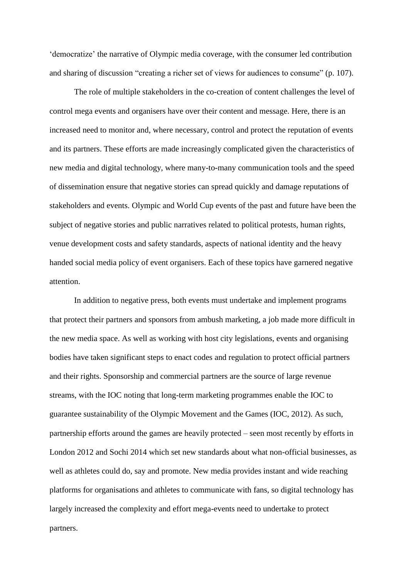'democratize' the narrative of Olympic media coverage, with the consumer led contribution and sharing of discussion "creating a richer set of views for audiences to consume" (p. 107).

The role of multiple stakeholders in the co-creation of content challenges the level of control mega events and organisers have over their content and message. Here, there is an increased need to monitor and, where necessary, control and protect the reputation of events and its partners. These efforts are made increasingly complicated given the characteristics of new media and digital technology, where many-to-many communication tools and the speed of dissemination ensure that negative stories can spread quickly and damage reputations of stakeholders and events. Olympic and World Cup events of the past and future have been the subject of negative stories and public narratives related to political protests, human rights, venue development costs and safety standards, aspects of national identity and the heavy handed social media policy of event organisers. Each of these topics have garnered negative attention.

In addition to negative press, both events must undertake and implement programs that protect their partners and sponsors from ambush marketing, a job made more difficult in the new media space. As well as working with host city legislations, events and organising bodies have taken significant steps to enact codes and regulation to protect official partners and their rights. Sponsorship and commercial partners are the source of large revenue streams, with the IOC noting that long-term marketing programmes enable the IOC to guarantee sustainability of the Olympic Movement and the Games (IOC, 2012). As such, partnership efforts around the games are heavily protected – seen most recently by efforts in London 2012 and Sochi 2014 which set new standards about what non-official businesses, as well as athletes could do, say and promote. New media provides instant and wide reaching platforms for organisations and athletes to communicate with fans, so digital technology has largely increased the complexity and effort mega-events need to undertake to protect partners.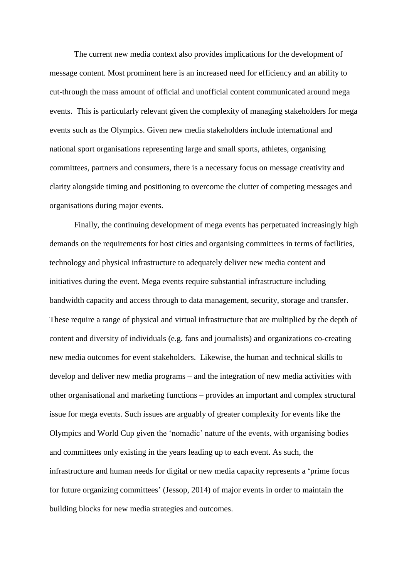The current new media context also provides implications for the development of message content. Most prominent here is an increased need for efficiency and an ability to cut-through the mass amount of official and unofficial content communicated around mega events. This is particularly relevant given the complexity of managing stakeholders for mega events such as the Olympics. Given new media stakeholders include international and national sport organisations representing large and small sports, athletes, organising committees, partners and consumers, there is a necessary focus on message creativity and clarity alongside timing and positioning to overcome the clutter of competing messages and organisations during major events.

Finally, the continuing development of mega events has perpetuated increasingly high demands on the requirements for host cities and organising committees in terms of facilities, technology and physical infrastructure to adequately deliver new media content and initiatives during the event. Mega events require substantial infrastructure including bandwidth capacity and access through to data management, security, storage and transfer. These require a range of physical and virtual infrastructure that are multiplied by the depth of content and diversity of individuals (e.g. fans and journalists) and organizations co-creating new media outcomes for event stakeholders. Likewise, the human and technical skills to develop and deliver new media programs – and the integration of new media activities with other organisational and marketing functions – provides an important and complex structural issue for mega events. Such issues are arguably of greater complexity for events like the Olympics and World Cup given the 'nomadic' nature of the events, with organising bodies and committees only existing in the years leading up to each event. As such, the infrastructure and human needs for digital or new media capacity represents a 'prime focus for future organizing committees' (Jessop, 2014) of major events in order to maintain the building blocks for new media strategies and outcomes.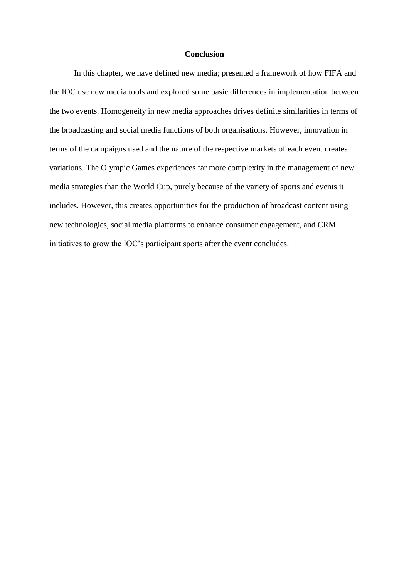# **Conclusion**

In this chapter, we have defined new media; presented a framework of how FIFA and the IOC use new media tools and explored some basic differences in implementation between the two events. Homogeneity in new media approaches drives definite similarities in terms of the broadcasting and social media functions of both organisations. However, innovation in terms of the campaigns used and the nature of the respective markets of each event creates variations. The Olympic Games experiences far more complexity in the management of new media strategies than the World Cup, purely because of the variety of sports and events it includes. However, this creates opportunities for the production of broadcast content using new technologies, social media platforms to enhance consumer engagement, and CRM initiatives to grow the IOC's participant sports after the event concludes.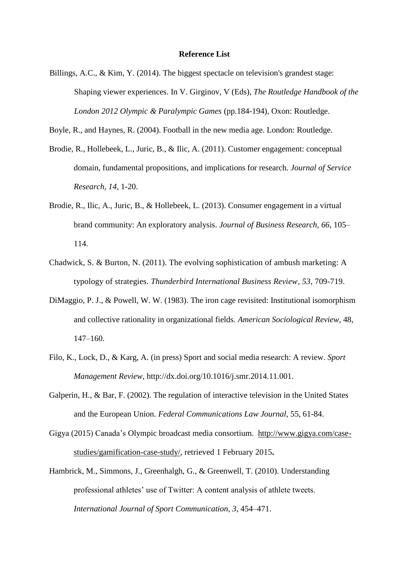#### **Reference List**

- Billings, A.C., & Kim, Y. (2014). The biggest spectacle on television's grandest stage: Shaping viewer experiences. In V. Girginov, V (Eds), *The Routledge Handbook of the London 2012 Olympic & Paralympic Games* (pp.184-194), Oxon: Routledge.
- Boyle, R., and Haynes, R. (2004). Football in the new media age. London: Routledge.
- Brodie, R., Hollebeek, L., Juric, B., & Ilic, A. (2011). Customer engagement: conceptual domain, fundamental propositions, and implications for research. *Journal of Service Research*, *14*, 1-20.
- Brodie, R., Ilic, A., Juric, B., & Hollebeek, L. (2013). Consumer engagement in a virtual brand community: An exploratory analysis. *Journal of Business Research*, *66*, 105– 114.
- Chadwick, S. & Burton, N. (2011). The evolving sophistication of ambush marketing: A typology of strategies. *Thunderbird International Business Review*, *53*, 709-719.
- DiMaggio, P. J., & Powell, W. W. (1983). The iron cage revisited: Institutional isomorphism and collective rationality in organizational fields. *American Sociological Review*, 48, 147–160.
- Filo, K., Lock, D., & Karg, A. (in press) Sport and social media research: A review. *Sport Management Review*, http://dx.doi.org/10.1016/j.smr.2014.11.001.
- Galperin, H., & Bar, F. (2002). The regulation of interactive television in the United States and the European Union. *Federal Communications Law Journal*, 55, 61-84.
- Gigya (2015) Canada's Olympic broadcast media consortium. [http://www.gigya.com/case](http://www.gigya.com/case-studies/gamification-case-study/)[studies/gamification-case-study/,](http://www.gigya.com/case-studies/gamification-case-study/) retrieved 1 February 2015**.**
- Hambrick, M., Simmons, J., Greenhalgh, G., & Greenwell, T. (2010). Understanding professional athletes' use of Twitter: A content analysis of athlete tweets. *International Journal of Sport Communication, 3*, 454–471.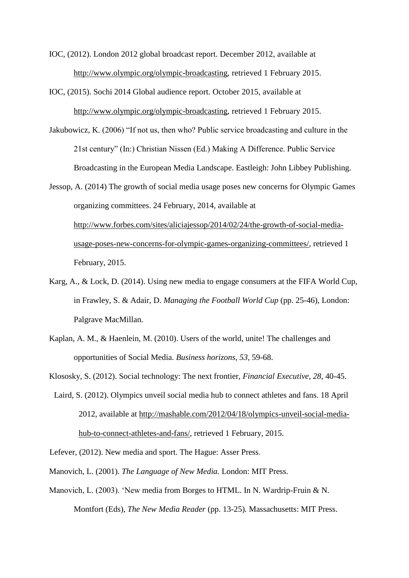IOC, (2012). London 2012 global broadcast report. December 2012, available at [http://www.olympic.org/olympic-broadcasting,](http://www.olympic.org/olympic-broadcasting) retrieved 1 February 2015.

- IOC, (2015). Sochi 2014 Global audience report. October 2015, available at [http://www.olympic.org/olympic-broadcasting,](http://www.olympic.org/olympic-broadcasting) retrieved 1 February 2015.
- Jakubowicz, K. (2006) "If not us, then who? Public service broadcasting and culture in the 21st century" (In:) Christian Nissen (Ed.) Making A Difference. Public Service Broadcasting in the European Media Landscape. Eastleigh: John Libbey Publishing.
- Jessop, A. (2014) The growth of social media usage poses new concerns for Olympic Games organizing committees. 24 February, 2014, available at [http://www.forbes.com/sites/aliciajessop/2014/02/24/the-growth-of-social-media](http://www.forbes.com/sites/aliciajessop/2014/02/24/the-growth-of-social-media-usage-poses-new-concerns-for-olympic-games-organizing-committees/)[usage-poses-new-concerns-for-olympic-games-organizing-committees/,](http://www.forbes.com/sites/aliciajessop/2014/02/24/the-growth-of-social-media-usage-poses-new-concerns-for-olympic-games-organizing-committees/) retrieved 1 February, 2015.
- Karg, A., & Lock, D. (2014). Using new media to engage consumers at the FIFA World Cup, in Frawley, S. & Adair, D. *Managing the Football World Cup* (pp. 25-46), London: Palgrave MacMillan.
- Kaplan, A. M., & Haenlein, M. (2010). Users of the world, unite! The challenges and opportunities of Social Media. *Business horizons*, *53*, 59-68.
- Klososky, S. (2012). Social technology: The next frontier, *Financial Executive*, *28*, 40-45.
- Laird, S. (2012). Olympics unveil social media hub to connect athletes and fans. 18 April 2012, available at [http://mashable.com/2012/04/18/olympics-unveil-social-media](http://mashable.com/2012/04/18/olympics-unveil-social-media-hub-to-connect-athletes-and-fans/)[hub-to-connect-athletes-and-fans/,](http://mashable.com/2012/04/18/olympics-unveil-social-media-hub-to-connect-athletes-and-fans/) retrieved 1 February, 2015.
- Lefever, (2012). New media and sport. The Hague: Asser Press.
- Manovich, L. (2001). *The Language of New Media.* London: MIT Press.
- Manovich, L. (2003). 'New media from Borges to HTML. In N. Wardrip-Fruin & N. Montfort (Eds), *The New Media Reader* (pp. 13-25)*.* Massachusetts: MIT Press.